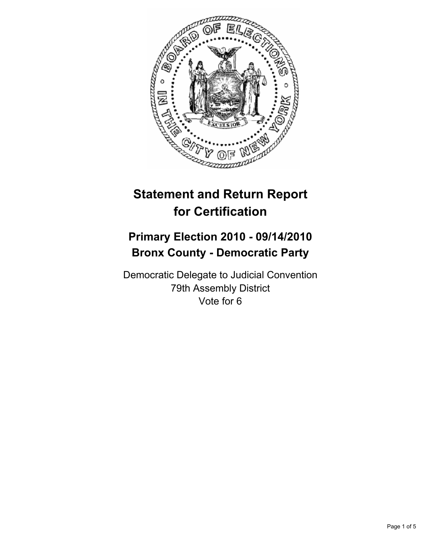

# **Statement and Return Report for Certification**

# **Primary Election 2010 - 09/14/2010 Bronx County - Democratic Party**

Democratic Delegate to Judicial Convention 79th Assembly District Vote for 6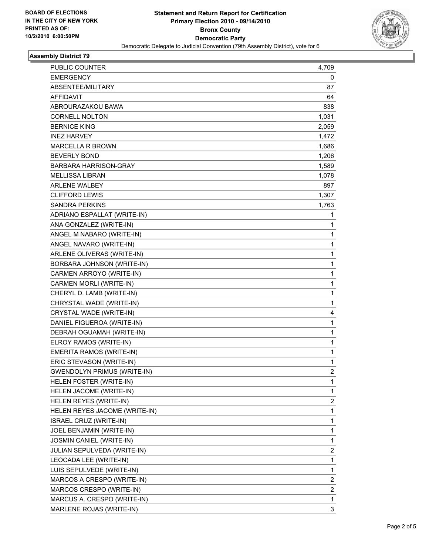

## **Assembly District 79**

| PUBLIC COUNTER                     | 4,709                   |
|------------------------------------|-------------------------|
| <b>EMERGENCY</b>                   | 0                       |
| ABSENTEE/MILITARY                  | 87                      |
| AFFIDAVIT                          | 64                      |
| ABROURAZAKOU BAWA                  | 838                     |
| <b>CORNELL NOLTON</b>              | 1,031                   |
| <b>BERNICE KING</b>                | 2,059                   |
| <b>INEZ HARVEY</b>                 | 1,472                   |
| <b>MARCELLA R BROWN</b>            | 1,686                   |
| <b>BEVERLY BOND</b>                | 1,206                   |
| <b>BARBARA HARRISON-GRAY</b>       | 1,589                   |
| <b>MELLISSA LIBRAN</b>             | 1,078                   |
| <b>ARLENE WALBEY</b>               | 897                     |
| <b>CLIFFORD LEWIS</b>              | 1,307                   |
| SANDRA PERKINS                     | 1,763                   |
| ADRIANO ESPALLAT (WRITE-IN)        | 1                       |
| ANA GONZALEZ (WRITE-IN)            | 1                       |
| ANGEL M NABARO (WRITE-IN)          | 1                       |
| ANGEL NAVARO (WRITE-IN)            | 1                       |
| ARLENE OLIVERAS (WRITE-IN)         | 1                       |
| BORBARA JOHNSON (WRITE-IN)         | 1                       |
| CARMEN ARROYO (WRITE-IN)           | 1                       |
| CARMEN MORLI (WRITE-IN)            | 1                       |
| CHERYL D. LAMB (WRITE-IN)          | 1                       |
| CHRYSTAL WADE (WRITE-IN)           | 1                       |
| CRYSTAL WADE (WRITE-IN)            | 4                       |
| DANIEL FIGUEROA (WRITE-IN)         | 1                       |
| DEBRAH OGUAMAH (WRITE-IN)          | 1                       |
| ELROY RAMOS (WRITE-IN)             | 1                       |
| EMERITA RAMOS (WRITE-IN)           | 1                       |
| ERIC STEVASON (WRITE-IN)           | 1                       |
| <b>GWENDOLYN PRIMUS (WRITE-IN)</b> | $\overline{2}$          |
| HELEN FOSTER (WRITE-IN)            | 1                       |
| HELEN JACOME (WRITE-IN)            | 1                       |
| HELEN REYES (WRITE-IN)             | $\overline{\mathbf{c}}$ |
| HELEN REYES JACOME (WRITE-IN)      | 1                       |
| ISRAEL CRUZ (WRITE-IN)             | 1                       |
| JOEL BENJAMIN (WRITE-IN)           | 1                       |
| JOSMIN CANIEL (WRITE-IN)           | 1                       |
| JULIAN SEPULVEDA (WRITE-IN)        | 2                       |
| LEOCADA LEE (WRITE-IN)             | 1                       |
| LUIS SEPULVEDE (WRITE-IN)          | 1                       |
| MARCOS A CRESPO (WRITE-IN)         | 2                       |
| MARCOS CRESPO (WRITE-IN)           | $\overline{\mathbf{c}}$ |
| MARCUS A. CRESPO (WRITE-IN)        | 1                       |
| MARLENE ROJAS (WRITE-IN)           | 3                       |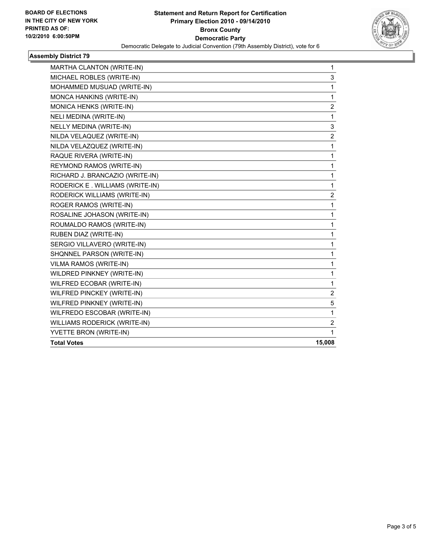

## **Assembly District 79**

| MARTHA CLANTON (WRITE-IN)       | 1                       |
|---------------------------------|-------------------------|
| MICHAEL ROBLES (WRITE-IN)       | 3                       |
| MOHAMMED MUSUAD (WRITE-IN)      | 1                       |
| MONCA HANKINS (WRITE-IN)        | 1                       |
| MONICA HENKS (WRITE-IN)         | 2                       |
| <b>NELI MEDINA (WRITE-IN)</b>   | $\mathbf{1}$            |
| NELLY MEDINA (WRITE-IN)         | 3                       |
| NILDA VELAQUEZ (WRITE-IN)       | $\overline{2}$          |
| NILDA VELAZQUEZ (WRITE-IN)      | $\mathbf 1$             |
| RAQUE RIVERA (WRITE-IN)         | 1                       |
| REYMOND RAMOS (WRITE-IN)        | $\mathbf 1$             |
| RICHARD J. BRANCAZIO (WRITE-IN) | 1                       |
| RODERICK E. WILLIAMS (WRITE-IN) | $\mathbf{1}$            |
| RODERICK WILLIAMS (WRITE-IN)    | $\overline{\mathbf{c}}$ |
| ROGER RAMOS (WRITE-IN)          | $\mathbf{1}$            |
| ROSALINE JOHASON (WRITE-IN)     | $\mathbf 1$             |
| ROUMALDO RAMOS (WRITE-IN)       | 1                       |
| RUBEN DIAZ (WRITE-IN)           | $\mathbf{1}$            |
| SERGIO VILLAVERO (WRITE-IN)     | 1                       |
| SHQNNEL PARSON (WRITE-IN)       | $\mathbf{1}$            |
| VILMA RAMOS (WRITE-IN)          | 1                       |
| WILDRED PINKNEY (WRITE-IN)      | 1                       |
| WILFRED ECOBAR (WRITE-IN)       | $\mathbf 1$             |
| WILFRED PINCKEY (WRITE-IN)      | $\overline{\mathbf{c}}$ |
| WILFRED PINKNEY (WRITE-IN)      | 5                       |
| WILFREDO ESCOBAR (WRITE-IN)     | 1                       |
| WILLIAMS RODERICK (WRITE-IN)    | $\overline{2}$          |
| YVETTE BRON (WRITE-IN)          | 1                       |
| <b>Total Votes</b>              | 15,008                  |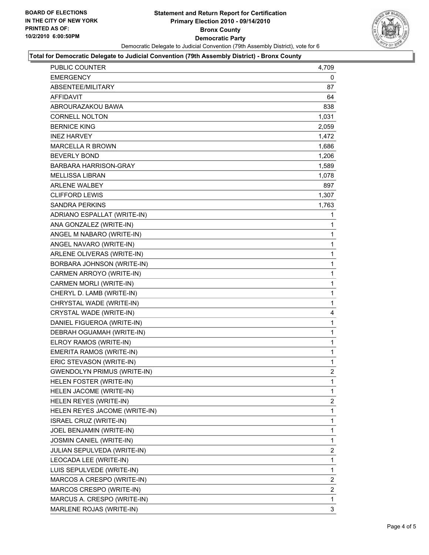

#### **Total for Democratic Delegate to Judicial Convention (79th Assembly District) - Bronx County**

| 4,709          |
|----------------|
| 0              |
| 87             |
| 64             |
| 838            |
| 1,031          |
| 2,059          |
| 1,472          |
| 1,686          |
| 1,206          |
| 1,589          |
| 1,078          |
| 897            |
| 1,307          |
| 1,763          |
| 1              |
| 1              |
| 1              |
| 1              |
| 1              |
| 1              |
| 1              |
| 1              |
| 1              |
| 1              |
| 4              |
| 1              |
| 1              |
| 1              |
| 1              |
| 1              |
| $\overline{2}$ |
| 1              |
| $\mathbf{1}$   |
| 2              |
| 1              |
| 1              |
| $\mathbf{1}$   |
| 1              |
| $\overline{2}$ |
| 1              |
| 1              |
| $\overline{2}$ |
| 2              |
| 1              |
| 3              |
|                |